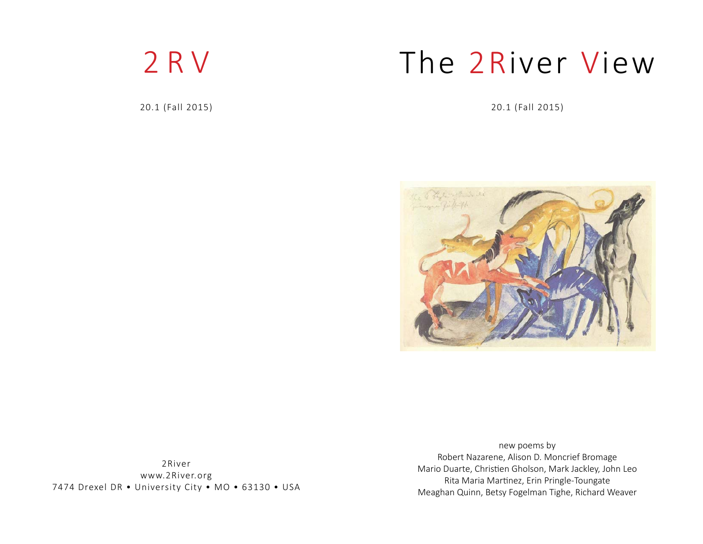

20.1 (Fall 2015)

# The 2River View

20.1 (Fall 2015)



2Riverwww.2River.org 7474 Drexel DR • University City • MO • 63130 • USA

new poems by Robert Nazarene, Alison D. Moncrief Bromage Mario Duarte, Christien Gholson, Mark Jackley, John Leo Rita Maria Martinez, Erin Pringle-Toungate Meaghan Quinn, Betsy Fogelman Tighe, Richard Weaver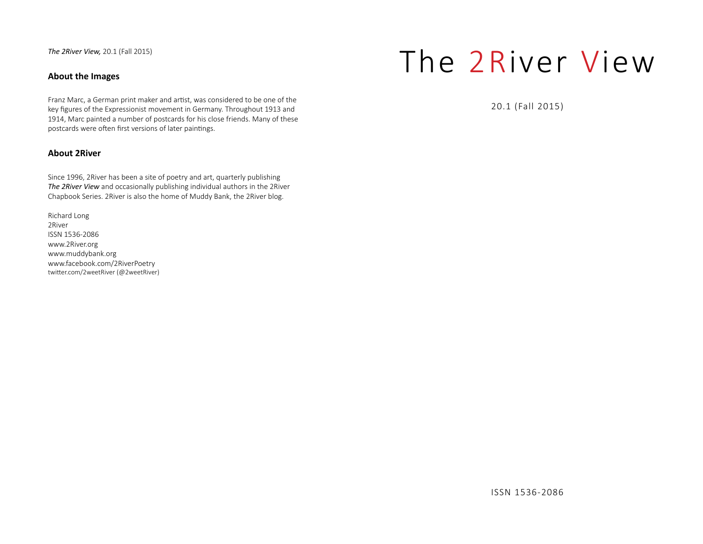*The 2River View,* 20.1 (Fall 2015)

# **About the Images**

Franz Marc, a German print maker and artist, was considered to be one of the key figures of the Expressionist movement in Germany. Throughout 1913 and 1914, Marc painted a number of postcards for his close friends. Many of these postcards were often first versions of later paintings.

# **About 2River**

Since 1996, 2River has been a site of poetry and art, quarterly publishing *The 2River View* and occasionally publishing individual authors in the 2River Chapbook Series. 2River is also the home of Muddy Bank, the 2River blog.

Richard Long 2RiverISSN 1536-2086www.2River.org www.muddybank.org www.facebook.com/2RiverPoetry twitter.com/2weetRiver (@2weetRiver)

# The 2River View

20.1 (Fall 2015)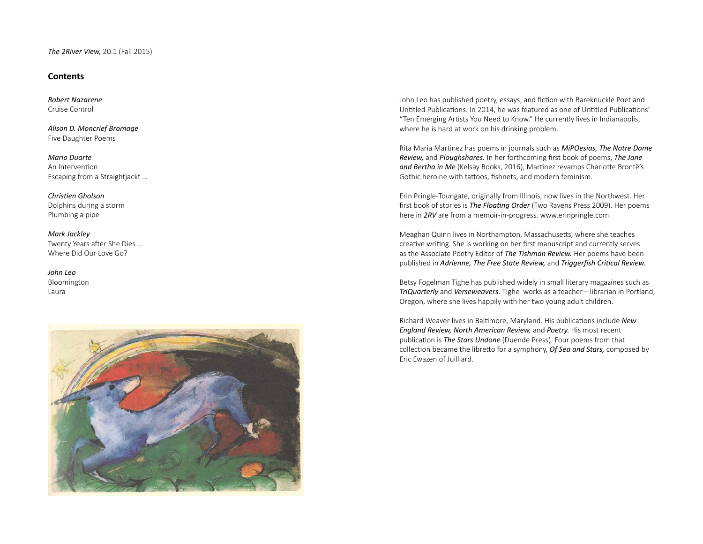## **Contents**

*Robert Nazarene*Cruise Control

*Alison D. Moncrief Bromage* Five Daughter Poems

*Mario Duarte*An Intervention Escaping from a Straightjackt …

*ChrisƟ en Gholson*Dolphins during a storm Plumbing a pipe

*Mark Jackley* Twenty Years after She Dies ... Where Did Our Love Go?

*John Leo*Bloomington Laura



John Leo has published poetry, essays, and fiction with Bareknuckle Poet and Untitled Publications. In 2014, he was featured as one of Untitled Publications' "Ten Emerging Artists You Need to Know." He currently lives in Indianapolis, where he is hard at work on his drinking problem.

 Rita Maria MarƟ nez has poems in journals such as *MiPOesias, The Notre Dame Review,* and *Ploughshares.* In her forthcoming first book of poems, *The Jane* and Bertha in Me (Kelsay Books, 2016), Martinez revamps Charlotte Brontë's Gothic heroine with tattoos, fishnets, and modern feminism.

Erin Pringle-Toungate, originally from Illinois, now lives in the Northwest. Her first book of stories is *The Floating Order* (Two Ravens Press 2009). Her poems here in *2RV* are from a memoir-in-progress. www.erinpringle.com.

Meaghan Quinn lives in Northampton, Massachusetts, where she teaches creative writing. She is working on her first manuscript and currently serves as the Associate Poetry Editor of *The Tishman Review.* Her poems have been published in *Adrienne, The Free State Review,* and *Triggerfish Critical Review.* 

 Betsy Fogelman Tighe has published widely in small literary magazines such as *TriQuarterly* and *Verseweavers*. Tighe works as a teacher—librarian in Portland, Oregon, where she lives happily with her two young adult children.

Richard Weaver lives in Baltimore, Maryland. His publications include New *England Review, North American Review,* and *Poetry.* His most recent publication is *The Stars Undone* (Duende Press). Four poems from that collection became the libretto for a symphony, *Of Sea and Stars,* composed by Eric Ewazen of Juilliard.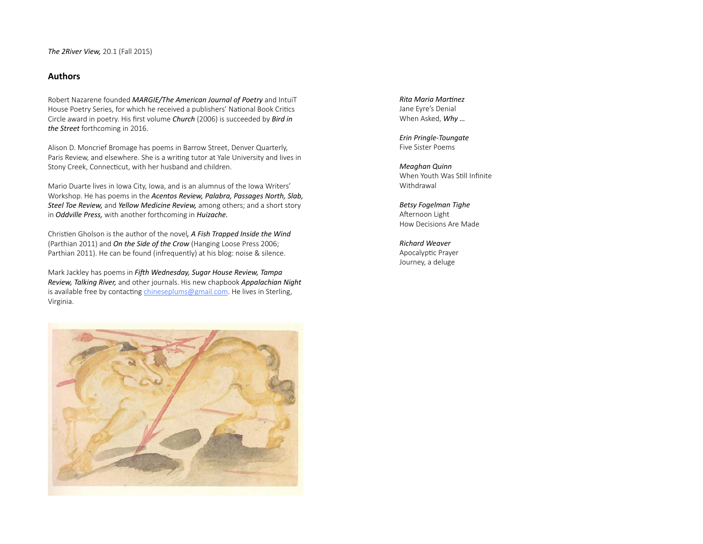# **Authors**

 Robert Nazarene founded *MARGIE/The American Journal of Poetry* and IntuiT House Poetry Series, for which he received a publishers' National Book Critics Circle award in poetry. His first volume *Church* (2006) is succeeded by *Bird in the Street* forthcoming in 2016.

 Alison D. Moncrief Bromage has poems in Barrow Street, Denver Quarterly, Paris Review, and elsewhere. She is a writing tutor at Yale University and lives in Stony Creek, Connecticut, with her husband and children.

 Mario Duarte lives in Iowa City, Iowa, and is an alumnus of the Iowa Writers' Workshop. He has poems in the *Acentos Review, Palabra, Passages North, Slab, Steel Toe Review,* and *Yellow Medicine Review,* among others; and a short story in *Oddville Press,* with another forthcoming in *Huizache.*

Christien Gholson is the author of the novel, A Fish Trapped Inside the Wind (Parthian 2011) and *On the Side of the Crow* (Hanging Loose Press 2006; Parthian 2011). He can be found (infrequently) at his blog: noise & silence.

Mark Jackley has poems in *Fifth Wednesday, Sugar House Review, Tampa Review, Talking River,* and other journals. His new chapbook *Appalachian Night* is available free by contacting chineseplums@gmail.com. He lives in Sterling, Virginia.

*Rita Maria MarƟ nez*Jane Eyre's Denial When Asked, *Why …*

*Erin Pringle-Toungate* Five Sister Poems

*Meaghan Quinn* When Youth Was Still Infinite Withdrawal

*Betsy Fogelman Tighe* Afternoon Light How Decisions Are Made

*Richard Weaver*Apocalyptic Prayer Journey, a deluge

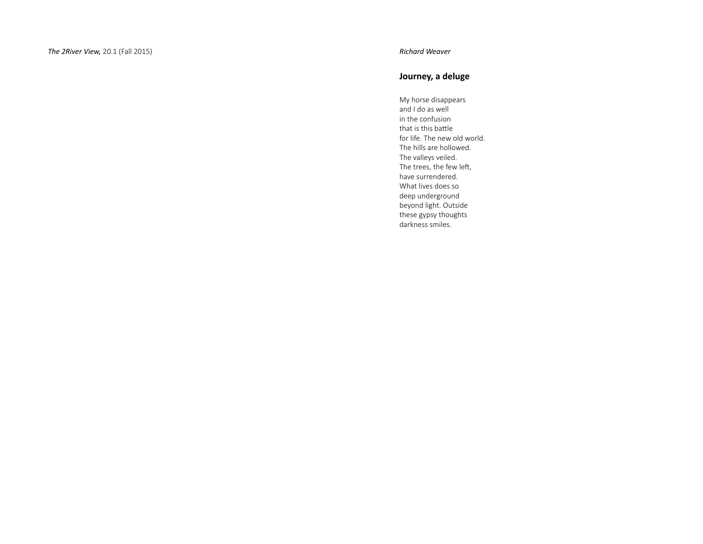# **Journey, a deluge**

My horse disappears and I do as well in the confusion that is this battle for life. The new old world. The hills are hollowed. The valleys veiled. The trees, the few left, have surrendered. What lives does so deep underground beyond light. Outside these gypsy thoughts darkness smiles.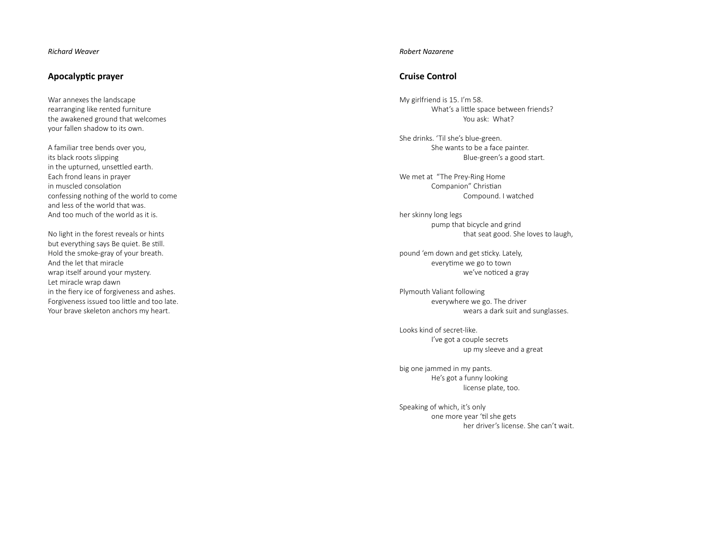#### *Richard Weaver*

#### **Apocalyp Ɵ c prayer**

War annexes the landscape rearranging like rented furniture the awakened ground that welcomes your fallen shadow to its own.

A familiar tree bends over you, its black roots slipping in the upturned, unsettled earth. Each frond leans in prayer in muscled consolation confessing nothing of the world to come and less of the world that was. And too much of the world as it is.

No light in the forest reveals or hints but everything says Be quiet. Be still. Hold the smoke-gray of your breath. And the let that miraclewrap itself around your mystery. Let miracle wrap dawn in the fiery ice of forgiveness and ashes. Forgiveness issued too little and too late. Your brave skeleton anchors my heart.

#### *Robert Nazarene*

# **Cruise Control**

My girlfriend is 15. I'm 58. What's a little space between friends? You ask: What?

She drinks. 'Til she's blue-green. She wants to be a face painter. Blue-green's a good start.

We met at "The Prey-Ring Home Companion" Christian Compound. I watched

her skinny long legs pump that bicycle and grind that seat good. She loves to laugh,

pound 'em down and get sticky. Lately, everytime we go to town we've noticed a gray

Plymouth Valiant following everywhere we go. The driver wears a dark suit and sunglasses.

Looks kind of secret-like. I've got a couple secrets up my sleeve and a great

big one jammed in my pants. He's got a funny looking license plate, too.

Speaking of which, it's only one more year 'til she gets her driver's license. She can't wait.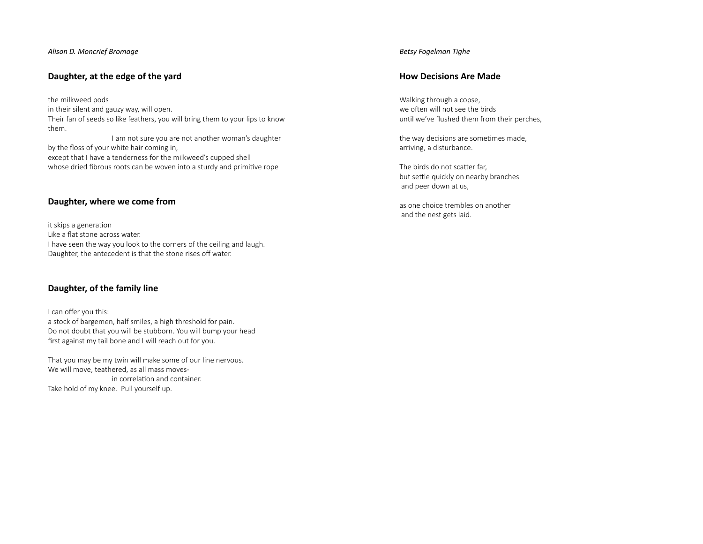*Alison D. Moncrief Bromage*

# **Daughter, at the edge of the yard**

the milkweed pods in their silent and gauzy way, will open. Their fan of seeds so like feathers, you will bring them to your lips to know them. I am not sure you are not another woman's daughter by the floss of your white hair coming in, except that I have a tenderness for the milkweed's cupped shell whose dried fibrous roots can be woven into a sturdy and primitive rope

# **Daughter, where we come from**

it skips a generation Like a flat stone across water. I have seen the way you look to the corners of the ceiling and laugh. Daughter, the antecedent is that the stone rises off water.

# **Daughter, of the family line**

I can offer you this: a stock of bargemen, half smiles, a high threshold for pain. Do not doubt that you will be stubborn. You will bump your head first against my tail bone and I will reach out for you.

That you may be my twin will make some of our line nervous. We will move, teathered, as all mass moves in correlation and container. Take hold of my knee. Pull yourself up.

#### *Betsy Fogelman Tighe*

# **How Decisions Are Made**

Walking through a copse, we often will not see the birds until we've flushed them from their perches,

the way decisions are sometimes made, arriving, a disturbance.

The birds do not scatter far, but settle quickly on nearby branches and peer down at us,

as one choice trembles on anotherand the nest gets laid.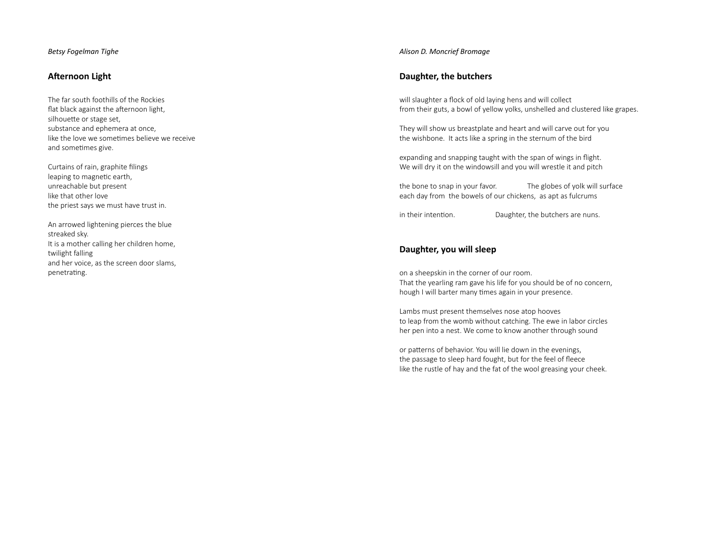#### *Betsy Fogelman Tighe*

#### **A Ō ernoon Light**

The far south foothills of the Rockiesflat black against the afternoon light, silhoue Ʃ e or stage set, substance and ephemera at once, like the love we sometimes believe we receive and sometimes give.

Curtains of rain, graphite filings leaping to magnetic earth, unreachable but present like that other lovethe priest says we must have trust in.

An arrowed lightening pierces the blue streaked sky. It is a mother calling her children home, twilight falling and her voice, as the screen door slams, penetrating.

#### *Alison D. Moncrief Bromage*

# **Daughter, the butchers**

will slaughter a flock of old laying hens and will collect from their guts, a bowl of yellow yolks, unshelled and clustered like grapes.

They will show us breastplate and heart and will carve out for you the wishbone. It acts like a spring in the sternum of the bird

expanding and snapping taught with the span of wings in flight. We will dry it on the windowsill and you will wrestle it and pitch

the bone to snap in your favor. The globes of yolk will surface each day from the bowels of our chickens, as apt as fulcrums

in their intention. Daughter, the butchers are nuns.

# **Daughter, you will sleep**

on a sheepskin in the corner of our room. That the yearling ram gave his life for you should be of no concern, hough I will barter many times again in your presence.

Lambs must present themselves nose atop hooves to leap from the womb without catching. The ewe in labor circles her pen into a nest. We come to know another through sound

or pa Ʃ erns of behavior. You will lie down in the evenings, the passage to sleep hard fought, but for the feel of fleece like the rustle of hay and the fat of the wool greasing your cheek.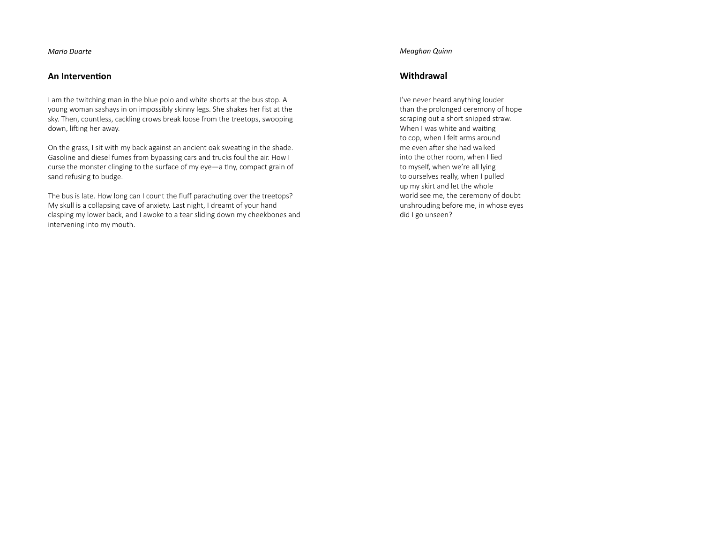*Mario Duarte*

## **An IntervenƟ on**

I am the twitching man in the blue polo and white shorts at the bus stop. A young woman sashays in on impossibly skinny legs. She shakes her fist at the sky. Then, countless, cackling crows break loose from the treetops, swooping down, lifting her away.

On the grass, I sit with my back against an ancient oak sweating in the shade. Gasoline and diesel fumes from bypassing cars and trucks foul the air. How I curse the monster clinging to the surface of my eye-a tiny, compact grain of sand refusing to budge.

The bus is late. How long can I count the fluff parachuting over the treetops? My skull is a collapsing cave of anxiety. Last night, I dreamt of your hand clasping my lower back, and I awoke to a tear sliding down my cheekbones and intervening into my mouth.

#### *Meaghan Quinn*

# **Withdrawal**

I've never heard anything louder than the prolonged ceremony of hope scraping out a short snipped straw. When I was white and waiting to cop, when I felt arms around me even after she had walked into the other room, when I lied to myself, when we're all lying to ourselves really, when I pulled up my skirt and let the whole world see me, the ceremony of doubt unshrouding before me, in whose eyes did I go unseen?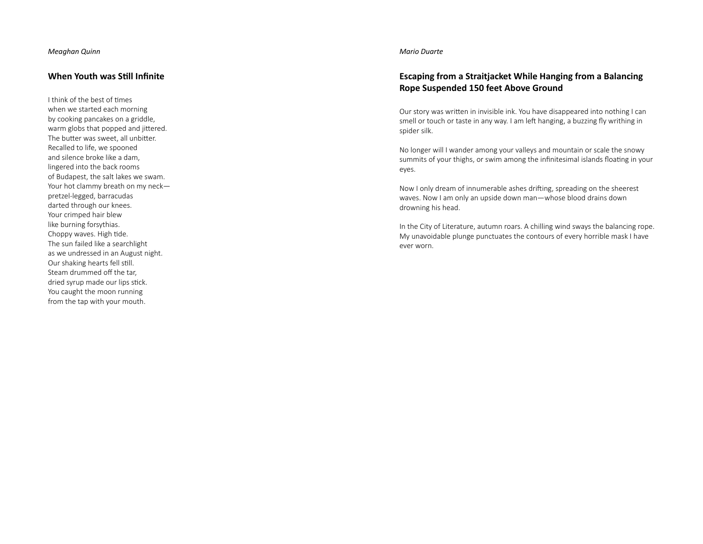### **When Youth was SƟ ll Infi nite**

I think of the best of times when we started each morning by cooking pancakes on a griddle, warm globs that popped and jittered. The butter was sweet, all unbitter. Recalled to life, we spooned and silence broke like a dam, lingered into the back rooms of Budapest, the salt lakes we swam. Your hot clammy breath on my neck pretzel-legged, barracudas darted through our knees. Your crimped hair blew like burning forsythias. Choppy waves. High tide. The sun failed like a searchlight as we undressed in an August night. Our shaking hearts fell still. Steam drummed o ff the tar, dried syrup made our lips stick. You caught the moon running from the tap with your mouth.

#### *Mario Duarte*

# **Escaping from a Straitjacket While Hanging from a Balancing Rope Suspended 150 feet Above Ground**

Our story was written in invisible ink. You have disappeared into nothing I can smell or touch or taste in any way. I am left hanging, a buzzing fly writhing in spider silk.

No longer will I wander among your valleys and mountain or scale the snowy summits of your thighs, or swim among the infinitesimal islands floating in your eyes.

Now I only dream of innumerable ashes drifting, spreading on the sheerest waves. Now I am only an upside down man—whose blood drains down drowning his head.

In the City of Literature, autumn roars. A chilling wind sways the balancing rope. My unavoidable plunge punctuates the contours of every horrible mask I have ever worn.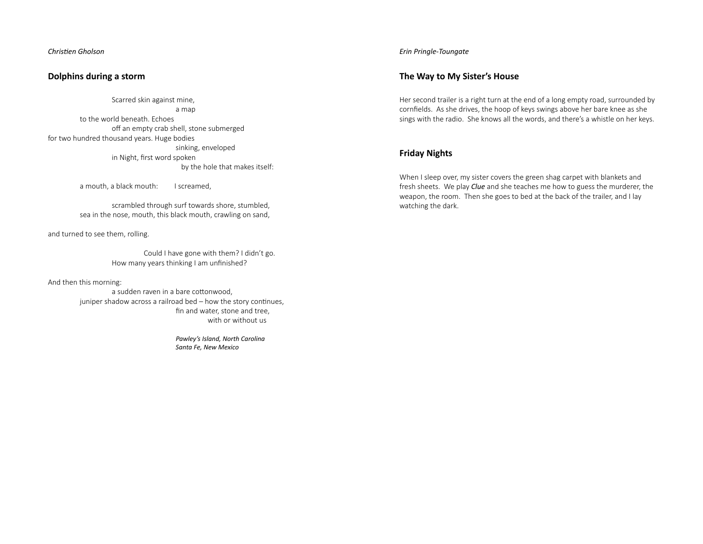# **Dolphins during a storm**

 Scarred skin against mine, a map to the world beneath. Echoes <sup>o</sup>ff an empty crab shell, stone submerged for two hundred thousand years. Huge bodies sinking, enveloped in Night, first word spoken by the hole that makes itself:

a mouth, a black mouth: I screamed,

 scrambled through surf towards shore, stumbled, sea in the nose, mouth, this black mouth, crawling on sand,

and turned to see them, rolling.

 Could I have gone with them? I didn't go. How many years thinking I am unfinished?

And then this morning:

a sudden raven in a bare cottonwood. juniper shadow across a railroad bed – how the story continues, fin and water, stone and tree, with or without us

> *Pawley's Island, North Carolina Santa Fe, New Mexico*

*Erin Pringle-Toungate*

# **The Way to My Sister's House**

Her second trailer is a right turn at the end of a long empty road, surrounded by cornfields. As she drives, the hoop of keys swings above her bare knee as she sings with the radio. She knows all the words, and there's a whistle on her keys.

# **Friday Nights**

When I sleep over, my sister covers the green shag carpet with blankets and fresh sheets. We play *Clue* and she teaches me how to guess the murderer, the weapon, the room. Then she goes to bed at the back of the trailer, and I lay watching the dark.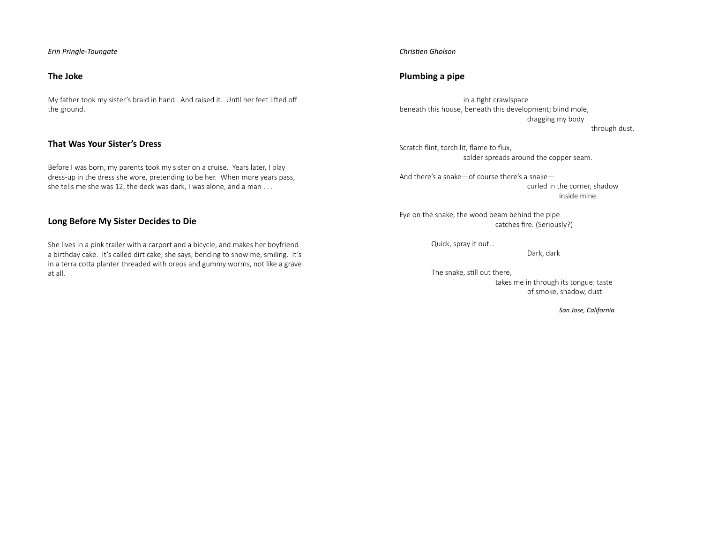#### *Erin Pringle-Toungate*

# **The Joke**

My father took my sister's braid in hand. And raised it. Until her feet lifted off the ground.

# **That Was Your Sister's Dress**

Before I was born, my parents took my sister on a cruise. Years later, I play dress-up in the dress she wore, pretending to be her. When more years pass, she tells me she was 12, the deck was dark, I was alone, and a man . . .

# **Long Before My Sister Decides to Die**

She lives in a pink trailer with a carport and a bicycle, and makes her boyfriend a birthday cake. It's called dirt cake, she says, bending to show me, smiling. It's in a terra cotta planter threaded with oreos and gummy worms, not like a grave at all.

#### *ChrisƟ en Gholson*

# **Plumbing a pipe**

in a tight crawlspace beneath this house, beneath this development; blind mole, dragging my body

through dust.

Scratch flint, torch lit, flame to flux, solder spreads around the copper seam.

And there's a snake—of course there's a snake curled in the corner, shadow inside mine.

Eye on the snake, the wood beam behind the pipe catches fire. (Seriously?)

Quick, spray it out…

Dark, dark

The snake, still out there, takes me in through its tongue: taste of smoke, shadow, dust

*San Jose, California*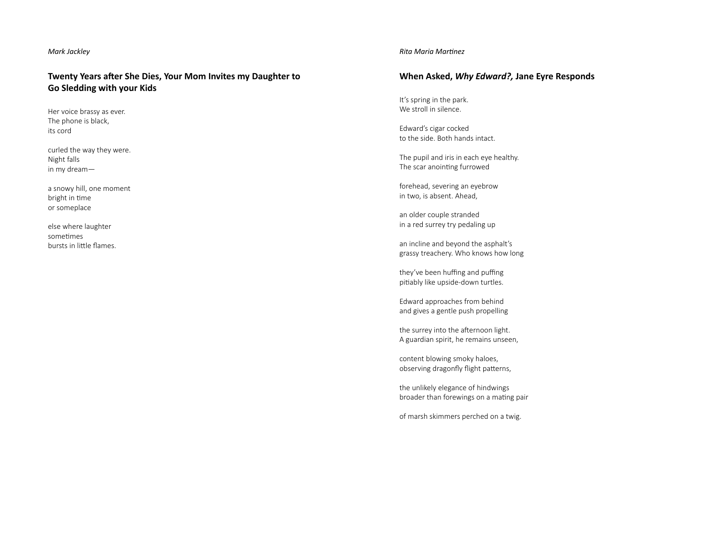#### *Mark Jackley*

# **Twenty Years after She Dies, Your Mom Invites my Daughter to Go Sledding with your Kids**

Her voice brassy as ever. The phone is black, its cord

curled the way they were. Night falls in my dream—

a snowy hill, one moment bright in time or someplace

else where laughter sometimes bursts in little flames.

#### *Rita Maria MarƟ nez*

# **When Asked,** *Why Edward?,* **Jane Eyre Responds**

It's spring in the park. We stroll in silence.

Edward's cigar cocked to the side. Both hands intact.

The pupil and iris in each eye healthy. The scar anointing furrowed

forehead, severing an eyebrow in two, is absent. Ahead,

an older couple stranded in a red surrey try pedaling up

an incline and beyond the asphalt's grassy treachery. Who knows how long

they've been huffing and puffing pitiably like upside-down turtles.

Edward approaches from behind and gives a gentle push propelling

the surrey into the afternoon light. A guardian spirit, he remains unseen,

content blowing smoky haloes, observing dragonfly flight patterns,

the unlikely elegance of hindwings broader than forewings on a mating pair

of marsh skimmers perched on a twig.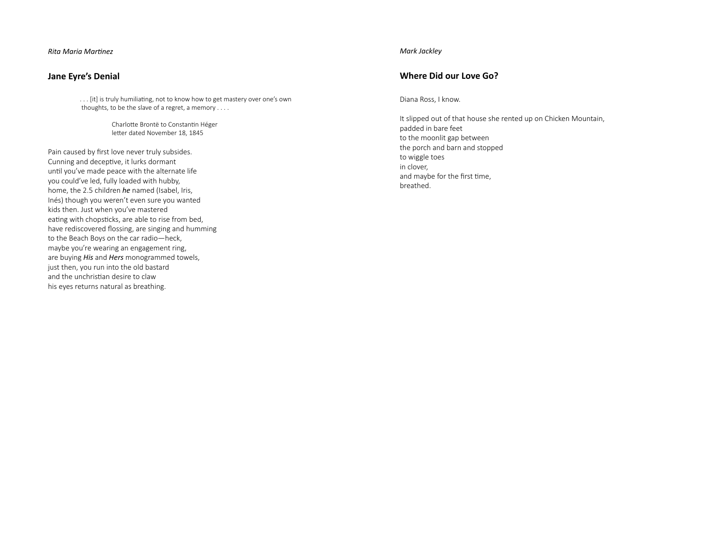*Rita Maria MarƟ nez*

# **Jane Eyre's Denial**

... [it] is truly humiliating, not to know how to get mastery over one's own thoughts, to be the slave of a regret, a memory . . . .

> Charlotte Brontë to Constantin Héger letter dated November 18, 1845

Pain caused by first love never truly subsides. Cunning and deceptive, it lurks dormant until you've made peace with the alternate life you could've led, fully loaded with hubby, home, the 2.5 children *he* named (Isabel, Iris, Inés) though you weren't even sure you wanted kids then. Just when you've mastered eating with chopsticks, are able to rise from bed, have rediscovered flossing, are singing and humming to the Beach Boys on the car radio—heck, maybe you're wearing an engagement ring, are buying *His* and *Hers* monogrammed towels, just then, you run into the old bastard and the unchristian desire to claw his eyes returns natural as breathing.

#### *Mark Jackley*

# **Where Did our Love Go?**

Diana Ross, I know.

It slipped out of that house she rented up on Chicken Mountain, padded in bare feet to the moonlit gap between the porch and barn and stopped to wiggle toes in clover, and maybe for the first time, breathed.